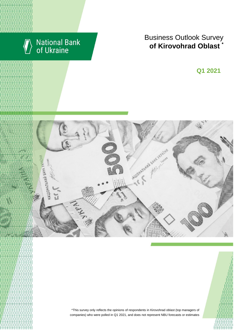

# National Bank<br>of Ukraine

## Business Outlook Survey **of Kirovohrad Oblast**

I квартал 2018 року **Q1 2021**



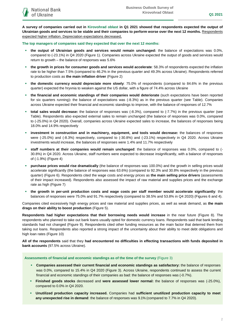**A survey of companies carried out in Kirovohrad oblast in Q1 2021 showed that respondents expected the output of Ukrainian goods and services to be stable and their companies to perform worse over the next 12 months.** Respondents expected higher inflation. Depreciation expectations decreased**.**

**The top managers of companies said they expected that over the next 12 months:**

- **the output of Ukrainian goods and services would remain unchanged:** the balance of expectations was 0.0%, compared to (-23.1%) in Q4 2020 (Figure 1). Companies across Ukraine expected the output of goods and services would return to growth – the balance of responses was 5.6%
- **the growth in prices for consumer goods and services would accelerate**: 58.3% of respondents expected the inflation rate to be higher than 7.5% (compared to 46.2% in the previous quarter and 49.3% across Ukraine). Respondents referred to production costs as **the main inflation driver** (Figure 2)
- **the domestic currency would depreciate more slowly**: 75.0% of respondents (compared to 84.6% in the previous quarter) expected the hryvnia to weaken against the US dollar, with a figure of 74.4% across Ukraine
- **the financial and economic standings of their companies would deteriorate** (such expectations have been reported for six quarters running)**:** the balance of expectations was (-8.3%) as in the previous quarter (see Table). Companies across Ukraine expected their financial and economic standings to improve, with the balance of responses of 12.7%
- **total sales would decrease:** the balance of responses was (-8.3%), compared to (-7.7%) in the previous quarter (see Table). Respondents also expected external sales to remain unchanged (the balance of responses was 0.0%, compared to (-25.0%) in Q4 2020). Overall, companies across Ukraine expected sales to increase, the balances of responses being 18.0% and 14.9% respectively
- **investment in construction and in machinery, equipment, and tools would decrease:** the balances of responses were (-25.0%) and (-8.3%) respectively, compared to (-30.8%) and (-23.1%) respectively in Q4 2020. Across Ukraine investments would increase, the balances of responses were 1.4% and 11.7% respectively
- **staff numbers at their companies would remain unchanged**: the balance of responses was 0.0%, compared to (- 30.8%) in Q4 2020. Across Ukraine, staff numbers were expected to decrease insignificantly, with a balance of responses of (-1.9%) (Figure 4)
- **purchase prices would rise dramatically** (the balance of responses was 100.0%) and the growth in selling prices would accelerate significantly (the balance of responses was 63.6%) (compared to 92.3% and 30.8% respectively in the previous quarter) (Figure 6). Respondents cited the wage costs and energy prices as **the main selling price drivers** (assessments of their impact increased). Respondents also assessed the impact of raw material and supplies prices and the exchange rate as high (Figure 7)
- **the growth in per-unit production costs and wage costs per staff member would accelerate significantly**: the balances of responses were 75.0% and 91.7% respectively (compared to 38.5% and 53.8% in Q4 2020) (Figures 6 and 4).

Companies cited excessively high energy prices and raw material and supplies prices, as well as weak demand, as **the main drags on their ability to boost production** (Figure 5).

**Respondents had higher expectations that their borrowing needs would increase** in the near future (Figure 8). The respondents who planned to take out bank loans usually opted for domestic currency loans. Respondents said that bank lending standards had not changed (Figure 9). Respondents cited other funding resources as the main factor that deterred them from taking out loans. Respondents also reported a strong impact of the uncertainty about their ability to meet debt obligations and high loan rates (Figure 10)

**All of the respondents** said that they **had encountered no difficulties in effecting transactions with funds deposited in bank accounts** (97.5% across Ukraine).

**Assessments of financial and economic standings as of the time of the survey** (Figure 3)

- **Companies assessed their current financial and economic standings as satisfactory:** the balance of responses was 0.0%, compared to 15.4% in Q4 2020 (Figure 3). Across Ukraine, respondents continued to assess the current financial and economic standings of their companies as bad: the balance of responses was (-0.7%).
- **Finished goods stocks** decreased and **were assessed lower normal:** the balance of responses was (-25.0%), compared to 0.0% in Q4 2020.
- **Unutilized production capacity increased.** Companies had **sufficient unutilized production capacity to meet any unexpected rise in demand**: the balance of responses was 9.1% (compared to 7.7% in Q4 2020).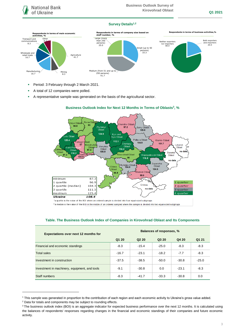#### **Survey Details1,2**



- Period: 3 February through 2 March 2021.
- A total of 12 companies were polled.
- A representative sample was generated on the basis of the agricultural sector.



#### **Business Outlook Index for Next 12 Months in Terms of Oblasts 3 , %**

\*a quartile is the value of the BOI where an ordered sample is divided into four equal-sized subgroups

\*\*a median is the value of the BOI in the middle of an ordered sampled where the sample is divided into two equal-sized subgroups

| <b>Expectations over next 12 months for</b>   | Balances of responses, % |                               |         |         |         |
|-----------------------------------------------|--------------------------|-------------------------------|---------|---------|---------|
|                                               | Q1 20                    | Q <sub>2</sub> 2 <sub>0</sub> | Q3 20   | Q4 20   | Q1 21   |
| Financial and economic standings              | $-8.3$                   | $-15.4$                       | $-25.0$ | $-8.3$  | $-8.3$  |
| <b>Total sales</b>                            | $-16.7$                  | $-23.1$                       | $-18.2$ | $-7.7$  | $-8.3$  |
| Investment in construction                    | $-37.5$                  | $-38.5$                       | $-50.0$ | $-30.8$ | $-25.0$ |
| Investment in machinery, equipment, and tools | $-9.1$                   | $-30.8$                       | 0.0     | $-23.1$ | $-8.3$  |
| Staff numbers                                 | $-8.3$                   | $-41.7$                       | $-33.3$ | $-30.8$ | 0.0     |

#### **Table. The Business Outlook Index of Companies in Kirovohrad Oblast and Its Components**

1

<sup>1</sup> This sample was generated in proportion to the contribution of each region and each economic activity to Ukraine's gross value added.

<sup>2</sup> Data for totals and components may be subject to rounding effects.

<sup>&</sup>lt;sup>3</sup> The business outlook index (BOI) is an aggregate indicator for expected business performance over the next 12 months. It is calculated using the balances of respondents' responses regarding changes in the financial and economic standings of their companies and future economic activity.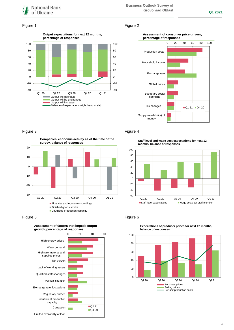

## Figure 1 Figure 2



#### **Assessment of consumer price drivers, percentage of responses**



#### Figure 3 Figure 4

**Companies' economic activity as of the time of the survey, balance of responses**



**Assessment of factors that impede output** 





**Staff level and wage cost expectations for next 12** 



#### Figure 5 **Figure 6**



**Expectations of producer prices for next 12 months, balance of responses**